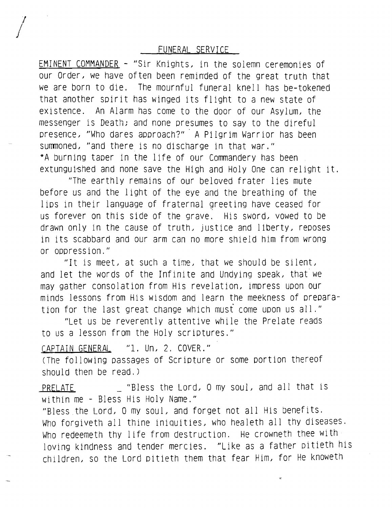FUNERAL SERVICE

I  $\int$ 

> EMINENT COMMANDER - "Sir Knights. in the solemn ceremonies of our Order, we have often been reminded of the great truth that we are born to die, The mournful funeral knell has be-tokened that another spirit has winged its flight to a new state of existence. An Alarm has come to the door of our Asylum. the messenger is Death; and none presumes to say to the direful presence. "Who dares approach?" A Pilgrim Warrior has been summoned, "and there is no discharge in that war." \*A burning taper in the life of our Commandery has been extunguished and none save the High and Holy One can relight it.

"The earthly remains of our beloved frater lies mute before us and the light of the eye and the breathing of the lips in their language of fraternal greeting have ceased for us forever on this side of the grave. His sword. vowed to be drawn only in the cause of truth. justice and liberty. reposes in its scabbard and our arm can no more shield him from wrong or oppression."

"It is meet, at such a time, that we should be silent, and let the words of the Infinite and Undying speak. that we may gather consolation from His revelation. impress upon our minds lessons from His wisdom and learn the meekness of preparation for the last great change which musi come upon us all."

"Let us be reverently attentive while the Prelate reads to us a lesson from the Holy scriptures."

CAPTAIN GENERAL "1. Un, 2. COVER." (The following passages of Scripture or some portion thereof should then be read,)

PRELATE "Bless the Lord, 0 my soul, and all that is within me - Bless His Holy Name."

"Bless the Lord, O my soul, and forget not all His benefits. Who forgiveth all thine iniquities, who healeth all thy diseases. Who redeemeth thy life from destruction. He crowneth thee with loving kindness and tender mercies. "Like as a father pitieth his children. so the Lord pitieth them that fear Him. for He knoweth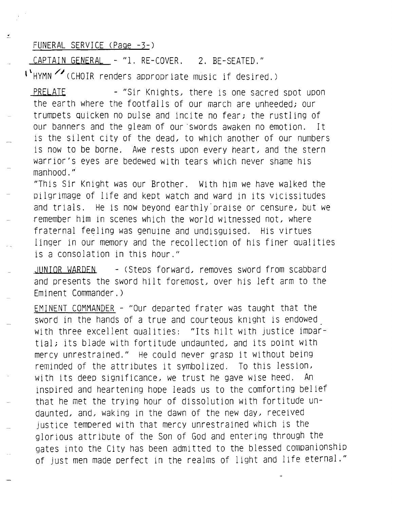## FUNERAL SERVICE (Page -3-)

 $\frac{d}{dt}$ 

CAPTAIN GENERAL - "1. RE-COVER. 2. BE-SEATED."

**\\HYMN** /;(CHOIR renders appropriate music if desired.)

PRELATE - "Sir Knights, there is one sacred spot upon the earth where the footfalls of our march are unheeded; our trumpets quicken no pulse and incite no fear; the rustling of our banners and the gleam of our 'swords awaken no emotion. It is the silent city of the dead. to which another of our numbers is now to be borne. Awe rests upon every heart. and the stern warrior's eyes are bedewed with tears which never shame his manhood."

"This Sir Knight was our Brother. With him we have walked the pilgrimage of life and kept watch and ward in its vicissitudes and trials. He is now beyond earthly'praise or censure. but we remember him in scenes which the world witnessed not, where fraternal feeling was genuine and undisguised. His virtues linger in our memory and the recollection of his finer qualities is a consolation in this hour."

JUNIOR WARDEN - (Steps forward. removes sword from scabbard and presents the sword hilt foremost. over his left arm to the Eminent Commander.)

EMINENT COMMANDER - "Our departed frater was taught that the sword in the hands of a true and courteous knight is endowed with three excellent qualities: "Its hilt with justice impartial; its blade with fortitude undaunted. and its point with mercy unrestrained." He could never grasp it without being reminded of the attributes it symbolized. To this lession. with its deep significance, we trust he gave wise heed. An inspired and heartening hope leads us to the comforting belief that he met the trying hour of dissolution with fortitude undaunted. and. waking in the dawn of the new day. received justice tempered with that mercy unrestrained which is the glorious attribute of the Son of God and entering through the gates into the City has been admitted to the blessed companionship of just men made perfect in the realms of light and life eternal."